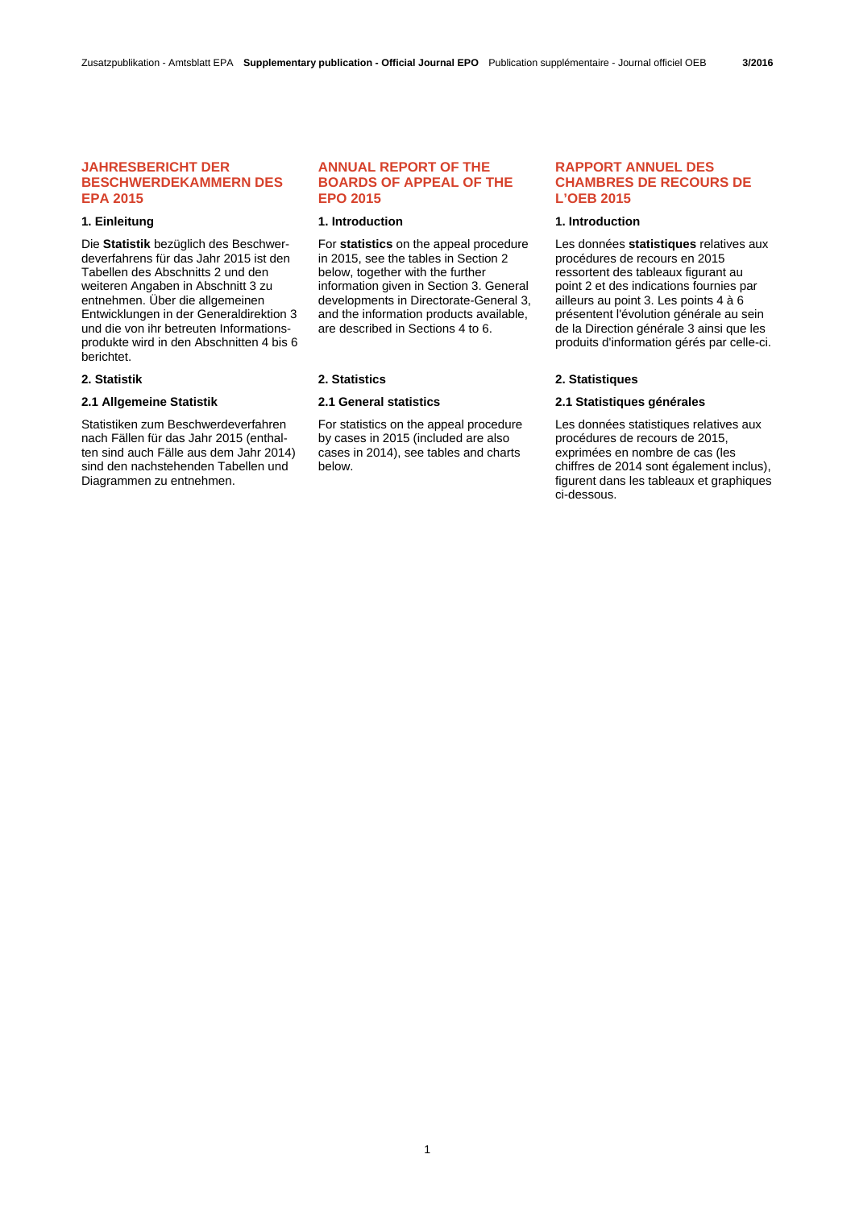# **JAHRESBERICHT DER BESCHWERDEKAMMERN DES EPA 2015**

Die **Statistik** bezüglich des Beschwerdeverfahrens für das Jahr 2015 ist den Tabellen des Abschnitts 2 und den weiteren Angaben in Abschnitt 3 zu entnehmen. Über die allgemeinen Entwicklungen in der Generaldirektion 3 und die von ihr betreuten Informationsprodukte wird in den Abschnitten 4 bis 6 berichtet.

Statistiken zum Beschwerdeverfahren nach Fällen für das Jahr 2015 (enthalten sind auch Fälle aus dem Jahr 2014) sind den nachstehenden Tabellen und Diagrammen zu entnehmen.

# **ANNUAL REPORT OF THE BOARDS OF APPEAL OF THE EPO 2015**

#### **1. Einleitung 1. Introduction 1. Introduction**

For **statistics** on the appeal procedure in 2015, see the tables in Section 2 below, together with the further information given in Section 3. General developments in Directorate-General 3, and the information products available, are described in Sections 4 to 6.

 For statistics on the appeal procedure by cases in 2015 (included are also cases in 2014), see tables and charts below.

# **RAPPORT ANNUEL DES CHAMBRES DE RECOURS DE L'OEB 2015**

Les données **statistiques** relatives aux procédures de recours en 2015 ressortent des tableaux figurant au point 2 et des indications fournies par ailleurs au point 3. Les points 4 à 6 présentent l'évolution générale au sein de la Direction générale 3 ainsi que les produits d'information gérés par celle-ci.

#### **2. Statistik 2. Statistics 2. Statistiques**

# **2.1 Allgemeine Statistik 2.1 General statistics 2.1 Statistiques générales**

 Les données statistiques relatives aux procédures de recours de 2015, exprimées en nombre de cas (les chiffres de 2014 sont également inclus), figurent dans les tableaux et graphiques ci-dessous.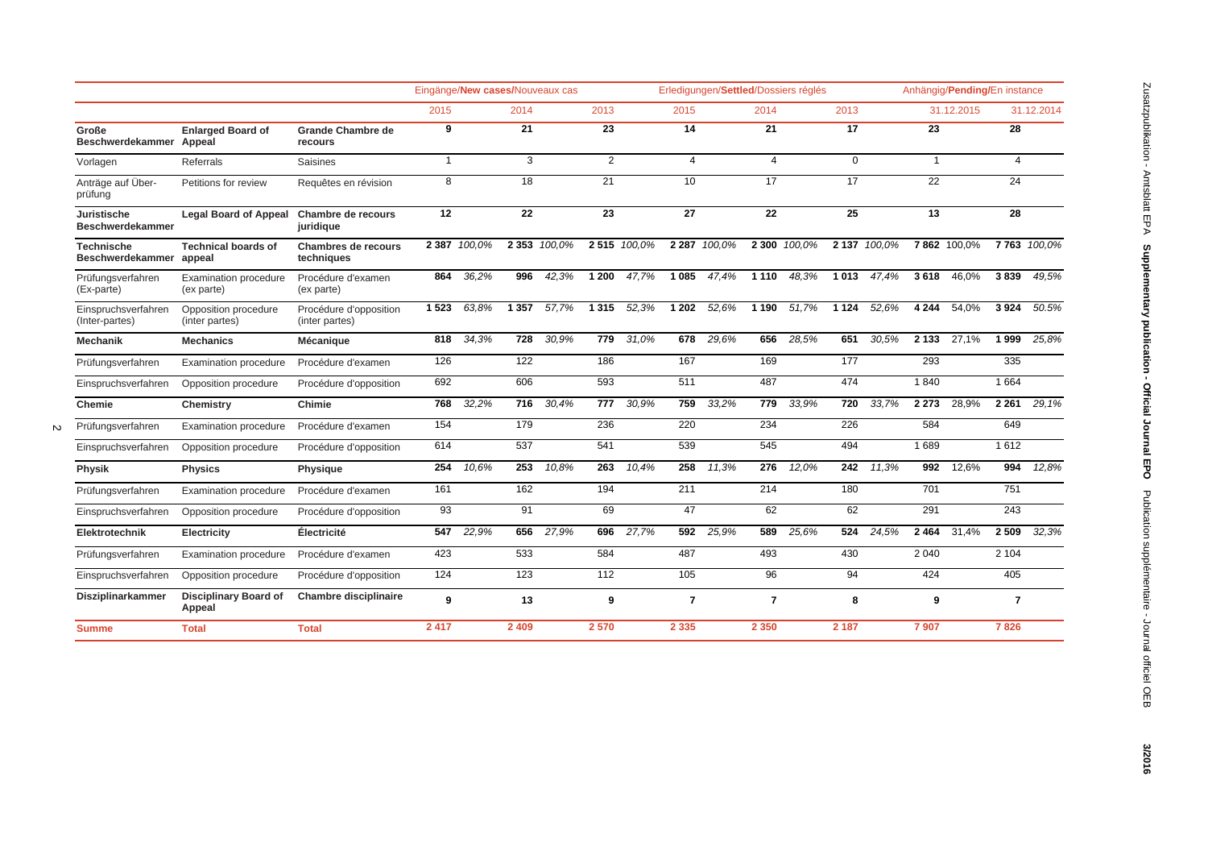|                                        |                                            |                                          |                         |              |                 | Eingänge/New cases/Nouveaux cas |                 | Erledigungen/Settled/Dossiers réglés |                 |              |                 | Anhängig/Pending/En instance |                 |              |                 |             |                 |             |
|----------------------------------------|--------------------------------------------|------------------------------------------|-------------------------|--------------|-----------------|---------------------------------|-----------------|--------------------------------------|-----------------|--------------|-----------------|------------------------------|-----------------|--------------|-----------------|-------------|-----------------|-------------|
|                                        |                                            |                                          | 2015                    |              | 2014            |                                 | 2013            |                                      | 2015            |              | 2014            |                              | 2013            |              |                 | 31.12.2015  |                 | 31.12.2014  |
| Große<br>Beschwerdekammer Appeal       | <b>Enlarged Board of</b>                   | <b>Grande Chambre de</b><br>recours      | 9                       |              | $\overline{21}$ |                                 | 23              |                                      | 14              |              | 21              |                              | 17              |              | 23              |             | 28              |             |
| Vorlagen                               | Referrals                                  | <b>Saisines</b>                          | $\mathbf{1}$            |              | 3               |                                 | $\overline{2}$  |                                      | $\overline{4}$  |              | $\overline{4}$  |                              | $\mathbf 0$     |              | $\mathbf{1}$    |             | $\overline{4}$  |             |
| Anträge auf Über-<br>prüfung           | Petitions for review                       | Requêtes en révision                     | $\overline{\mathbf{8}}$ |              | 18              |                                 | 21              |                                      | 10              |              | 17              |                              | 17              |              | 22              |             | 24              |             |
| Juristische<br><b>Beschwerdekammer</b> | <b>Legal Board of Appeal</b>               | Chambre de recours<br>juridique          | $\overline{12}$         |              | $\overline{22}$ |                                 | $\overline{23}$ |                                      | $\overline{27}$ |              | $\overline{22}$ |                              | $\overline{25}$ |              | $\overline{13}$ |             | $\overline{28}$ |             |
| <b>Technische</b><br>Beschwerdekammer  | <b>Technical boards of</b><br>appeal       | Chambres de recours<br>techniques        |                         | 2 387 100,0% |                 | 2 353 100.0%                    |                 | 2515 100.0%                          |                 | 2 287 100.0% |                 | 2 300 100,0%                 |                 | 2 137 100,0% |                 | 7862 100,0% |                 | 7763 100,0% |
| Prüfungsverfahren<br>(Ex-parte)        | <b>Examination procedure</b><br>(ex parte) | Procédure d'examen<br>(ex parte)         | 864                     | 36,2%        | 996             | 42,3%                           | 1 200           | 47,7%                                |                 | 1 085 47,4%  |                 | 1 110 48,3%                  | 1 0 1 3         | 47,4%        | 3618            | 46,0%       | 3839            | 49,5%       |
| Einspruchsverfahren<br>(Inter-partes)  | Opposition procedure<br>(inter partes)     | Procédure d'opposition<br>(inter partes) | 1523                    | 63,8%        | 1 3 5 7         | 57,7%                           | 1 3 1 5         | 52,3%                                | 1 202           | 52,6%        | 1 1 9 0         | 51,7%                        | 1 1 2 4         | 52,6%        | 4 2 4 4         | 54,0%       | 3924            | 50.5%       |
| <b>Mechanik</b>                        | <b>Mechanics</b>                           | Mécanique                                | 818                     | 34,3%        | 728             | 30,9%                           | 779             | 31,0%                                |                 | 678 29.6%    | 656             | 28,5%                        | 651             | 30.5%        | 2 1 3 3         | 27,1%       | 1999            | 25,8%       |
| Prüfungsverfahren                      | <b>Examination procedure</b>               | Procédure d'examen                       | 126                     |              | 122             |                                 | 186             |                                      | 167             |              | 169             |                              | 177             |              | 293             |             | 335             |             |
| Einspruchsverfahren                    | Opposition procedure                       | Procédure d'opposition                   | 692                     |              | 606             |                                 | 593             |                                      | 511             |              | 487             |                              | 474             |              | 1840            |             | 1664            |             |
| Chemie                                 | Chemistry                                  | Chimie                                   | 768                     | 32,2%        | 716             | 30,4%                           | 777             | 30,9%                                | 759             | 33,2%        | 779             | 33,9%                        | 720             | 33,7%        | 2 2 7 3         | 28,9%       | 2 2 6 1         | 29,1%       |
| Prüfungsverfahren                      | Examination procedure                      | Procédure d'examen                       | 154                     |              | 179             |                                 | 236             |                                      | 220             |              | 234             |                              | 226             |              | 584             |             | 649             |             |
| Einspruchsverfahren                    | Opposition procedure                       | Procédure d'opposition                   | 614                     |              | 537             |                                 | 541             |                                      | 539             |              | 545             |                              | 494             |              | 1689            |             | 1612            |             |
| Physik                                 | <b>Physics</b>                             | Physique                                 | 254                     | 10,6%        | 253             | 10,8%                           | 263             | 10,4%                                | 258             | 11,3%        | 276             | 12,0%                        |                 | 242 11,3%    | 992             | 12,6%       | 994             | 12,8%       |
| Prüfungsverfahren                      | <b>Examination procedure</b>               | Procédure d'examen                       | 161                     |              | 162             |                                 | 194             |                                      | 211             |              | 214             |                              | 180             |              | 701             |             | 751             |             |
| Einspruchsverfahren                    | Opposition procedure                       | Procédure d'opposition                   | 93                      |              | 91              |                                 | 69              |                                      | 47              |              | 62              |                              | 62              |              | 291             |             | 243             |             |
| Elektrotechnik                         | Electricity                                | Électricité                              | 547                     | 22,9%        | 656             | 27,9%                           | 696             | 27,7%                                | 592             | 25,9%        | 589             | 25,6%                        | 524             | 24.5%        | 2 4 6 4         | 31,4%       | 2 5 0 9         | 32,3%       |
| Prüfungsverfahren                      | <b>Examination procedure</b>               | Procédure d'examen                       | 423                     |              | 533             |                                 | 584             |                                      | 487             |              | 493             |                              | 430             |              | 2 0 4 0         |             | 2 104           |             |
| Einspruchsverfahren                    | Opposition procedure                       | Procédure d'opposition                   | 124                     |              | 123             |                                 | 112             |                                      | 105             |              | 96              |                              | 94              |              | 424             |             | 405             |             |
| <b>Disziplinarkammer</b>               | <b>Disciplinary Board of</b><br>Appeal     | <b>Chambre disciplinaire</b>             | 9                       |              | 13              |                                 | 9               |                                      | $\overline{7}$  |              | $\overline{7}$  |                              | 8               |              | 9               |             | $\overline{7}$  |             |
| <b>Summe</b>                           | <b>Total</b>                               | <b>Total</b>                             | 2 4 1 7                 |              | 2 4 0 9         |                                 | 2570            |                                      | 2 3 3 5         |              | 2 3 5 0         |                              | 2 1 8 7         |              | 7907            |             | 7826            |             |

 $\sim$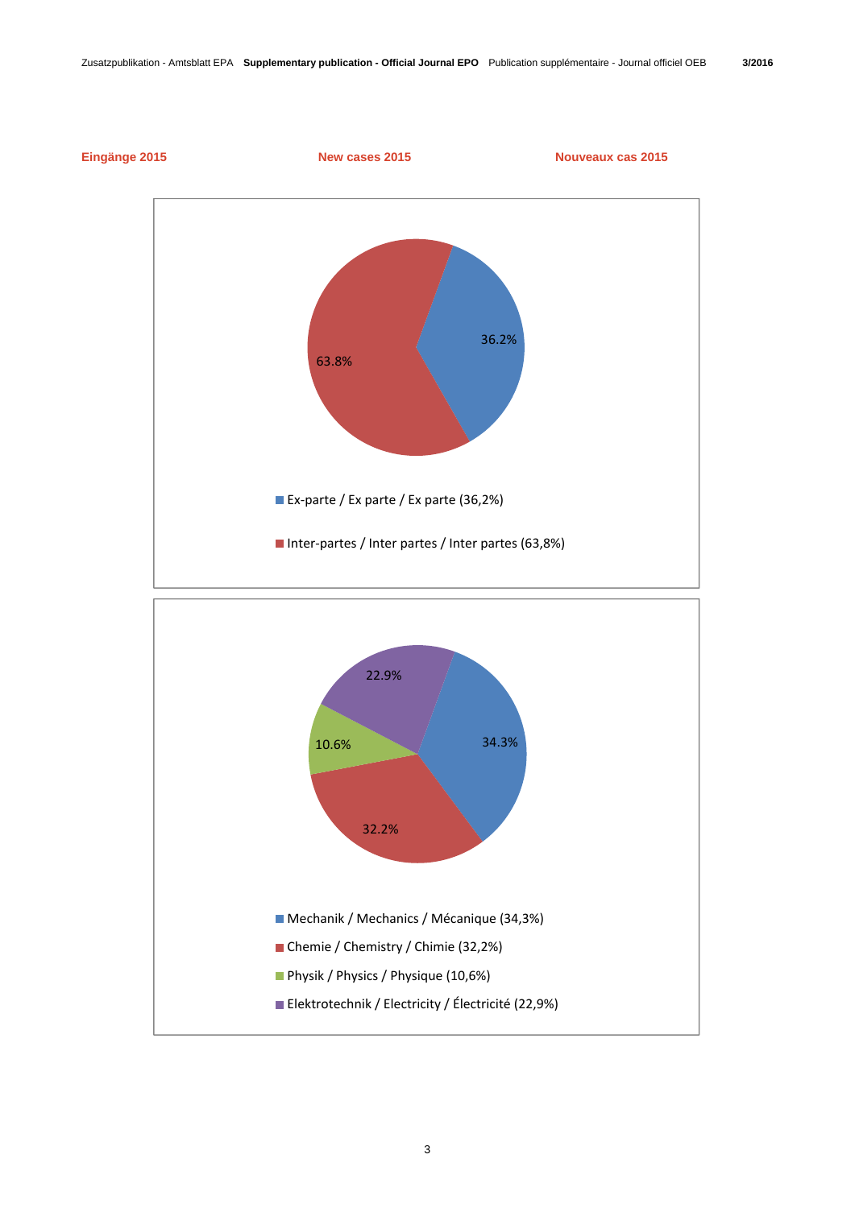

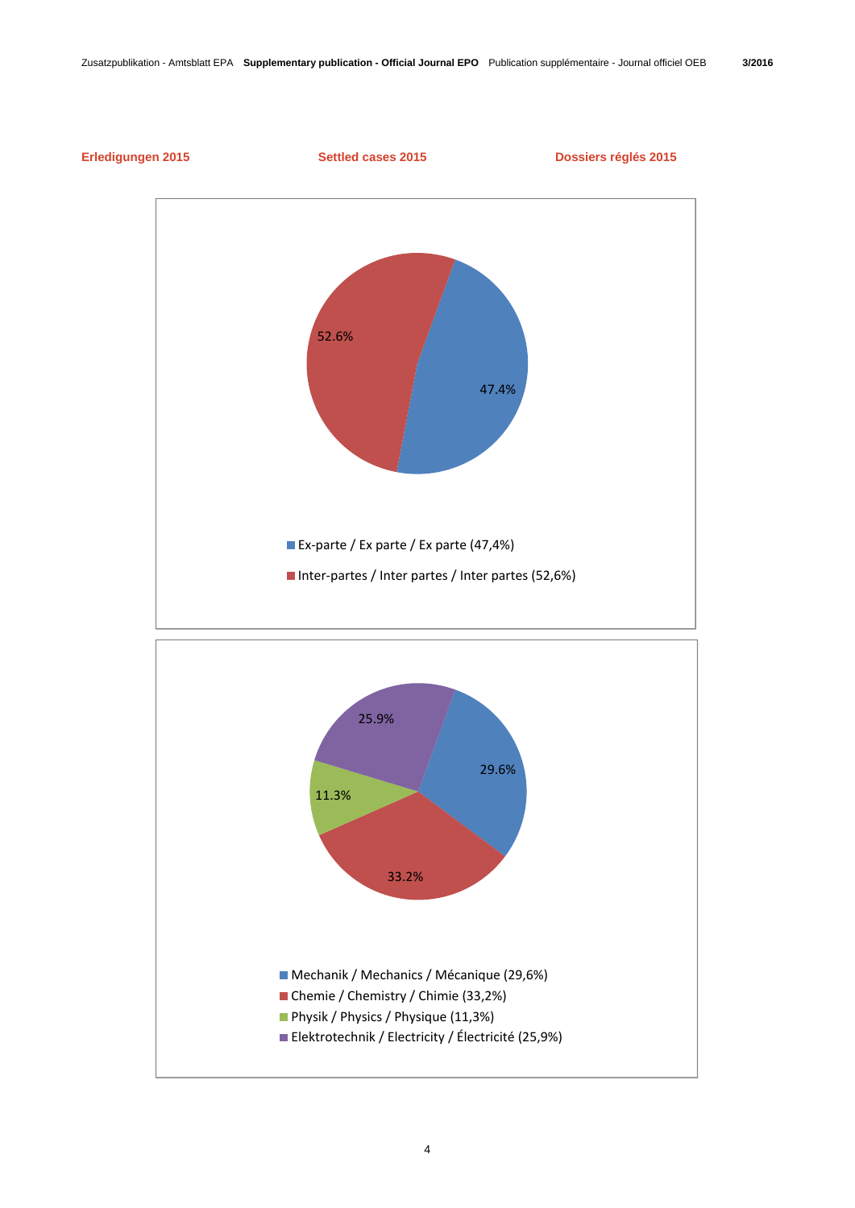

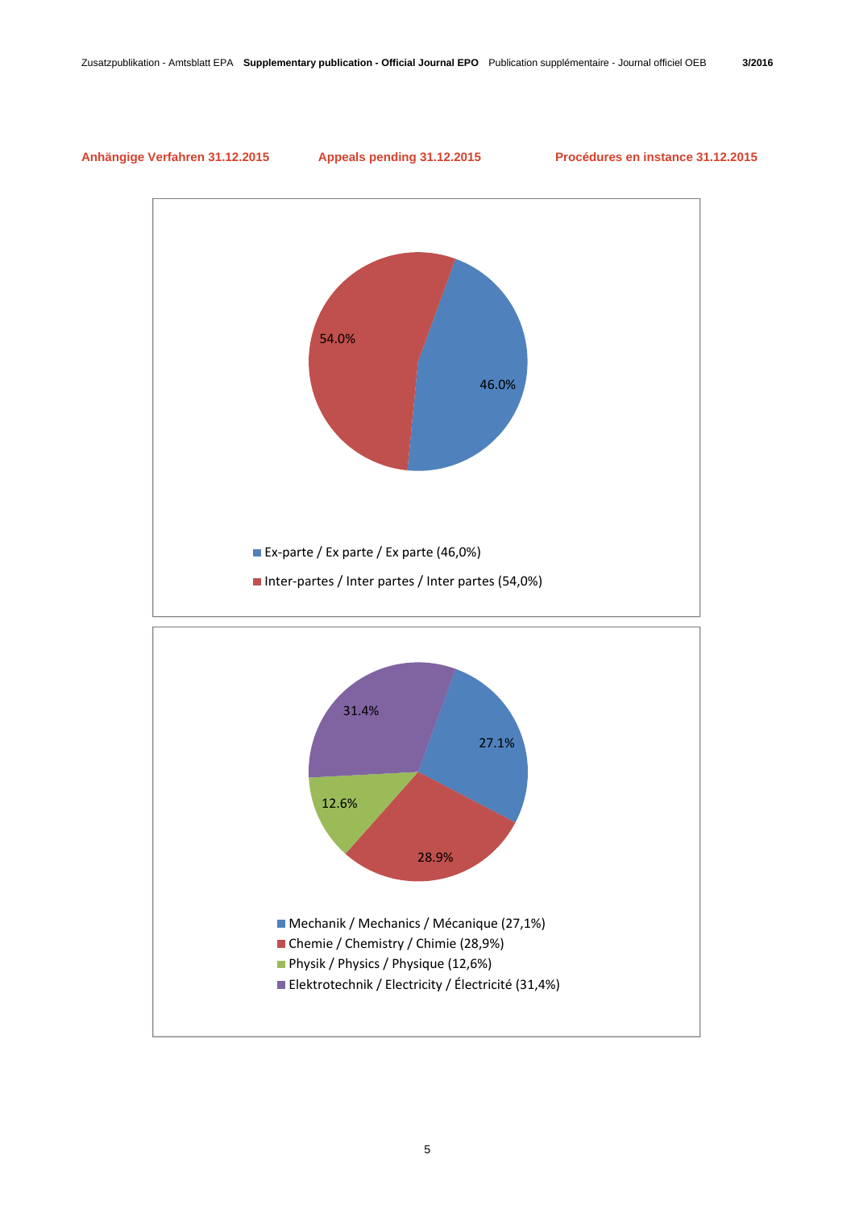# **Anhängige Verfahren 31.12.2015 Appeals pending 31.12.2015 Procédures en instance 31.12.2015**

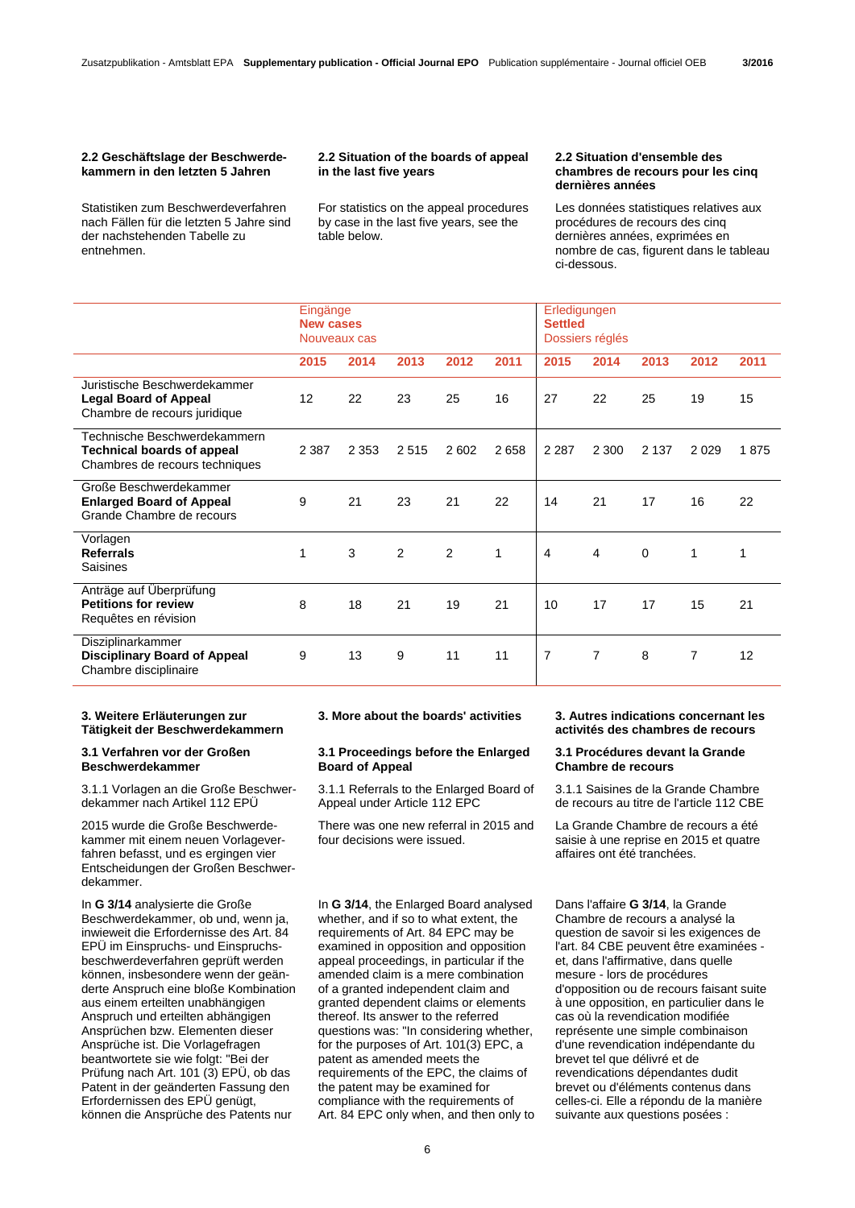#### **2.2 Geschäftslage der Beschwerdekammern in den letzten 5 Jahren**

Statistiken zum Beschwerdeverfahren nach Fällen für die letzten 5 Jahre sind der nachstehenden Tabelle zu entnehmen.

### **2.2 Situation of the boards of appeal in the last five years**

 For statistics on the appeal procedures by case in the last five years, see the table below.

#### **2.2 Situation d'ensemble des chambres de recours pour les cinq dernières années**

 Les données statistiques relatives aux procédures de recours des cinq dernières années, exprimées en nombre de cas, figurent dans le tableau ci-dessous.

|                                                                                                     | Eingänge<br><b>New cases</b><br>Nouveaux cas |         |      |      | Erledigungen<br><b>Settled</b><br>Dossiers réglés |                |                |             |                |      |
|-----------------------------------------------------------------------------------------------------|----------------------------------------------|---------|------|------|---------------------------------------------------|----------------|----------------|-------------|----------------|------|
|                                                                                                     | 2015                                         | 2014    | 2013 | 2012 | 2011                                              | 2015           | 2014           | 2013        | 2012           | 2011 |
| Juristische Beschwerdekammer<br><b>Legal Board of Appeal</b><br>Chambre de recours juridique        | 12                                           | 22      | 23   | 25   | 16                                                | 27             | 22             | 25          | 19             | 15   |
| Technische Beschwerdekammern<br><b>Technical boards of appeal</b><br>Chambres de recours techniques | 2 3 8 7                                      | 2 3 5 3 | 2515 | 2602 | 2658                                              | 2 2 8 7        | 2 3 0 0        | 2 1 3 7     | 2029           | 1875 |
| Große Beschwerdekammer<br><b>Enlarged Board of Appeal</b><br>Grande Chambre de recours              | 9                                            | 21      | 23   | 21   | 22                                                | 14             | 21             | 17          | 16             | 22   |
| Vorlagen<br><b>Referrals</b><br>Saisines                                                            | 1                                            | 3       | 2    | 2    | 1                                                 | $\overline{4}$ | $\overline{4}$ | $\mathbf 0$ | $\mathbf{1}$   | 1    |
| Anträge auf Überprüfung<br><b>Petitions for review</b><br>Requêtes en révision                      | 8                                            | 18      | 21   | 19   | 21                                                | 10             | 17             | 17          | 15             | 21   |
| Disziplinarkammer<br><b>Disciplinary Board of Appeal</b><br>Chambre disciplinaire                   | 9                                            | 13      | 9    | 11   | 11                                                | $\overline{7}$ | 7              | 8           | $\overline{7}$ | 12   |

# **3. Weitere Erläuterungen zur Tätigkeit der Beschwerdekammern**

## **3.1 Verfahren vor der Großen Beschwerdekammer**

3.1.1 Vorlagen an die Große Beschwerdekammer nach Artikel 112 EPÜ

2015 wurde die Große Beschwerdekammer mit einem neuen Vorlageverfahren befasst, und es ergingen vier Entscheidungen der Großen Beschwerdekammer.

In **G 3/14** analysierte die Große Beschwerdekammer, ob und, wenn ja, inwieweit die Erfordernisse des Art. 84 EPÜ im Einspruchs- und Einspruchsbeschwerdeverfahren geprüft werden können, insbesondere wenn der geänderte Anspruch eine bloße Kombination aus einem erteilten unabhängigen Anspruch und erteilten abhängigen Ansprüchen bzw. Elementen dieser Ansprüche ist. Die Vorlagefragen beantwortete sie wie folgt: "Bei der Prüfung nach Art. 101 (3) EPÜ, ob das Patent in der geänderten Fassung den Erfordernissen des EPÜ genügt, können die Ansprüche des Patents nur

# **3.1 Proceedings before the Enlarged Board of Appeal**

 3.1.1 Referrals to the Enlarged Board of Appeal under Article 112 EPC

 There was one new referral in 2015 and four decisions were issued.

In **G 3/14**, the Enlarged Board analysed whether, and if so to what extent, the requirements of Art. 84 EPC may be examined in opposition and opposition appeal proceedings, in particular if the amended claim is a mere combination of a granted independent claim and granted dependent claims or elements thereof. Its answer to the referred questions was: "In considering whether, for the purposes of Art. 101(3) EPC, a patent as amended meets the requirements of the EPC, the claims of the patent may be examined for compliance with the requirements of Art. 84 EPC only when, and then only to

# **3. More about the boards' activities 3. Autres indications concernant les activités des chambres de recours**

### **3.1 Procédures devant la Grande Chambre de recours**

 3.1.1 Saisines de la Grande Chambre de recours au titre de l'article 112 CBE

 La Grande Chambre de recours a été saisie à une reprise en 2015 et quatre affaires ont été tranchées.

Dans l'affaire **G 3/14**, la Grande Chambre de recours a analysé la question de savoir si les exigences de l'art. 84 CBE peuvent être examinées et, dans l'affirmative, dans quelle mesure - lors de procédures d'opposition ou de recours faisant suite à une opposition, en particulier dans le cas où la revendication modifiée représente une simple combinaison d'une revendication indépendante du brevet tel que délivré et de revendications dépendantes dudit brevet ou d'éléments contenus dans celles-ci. Elle a répondu de la manière suivante aux questions posées :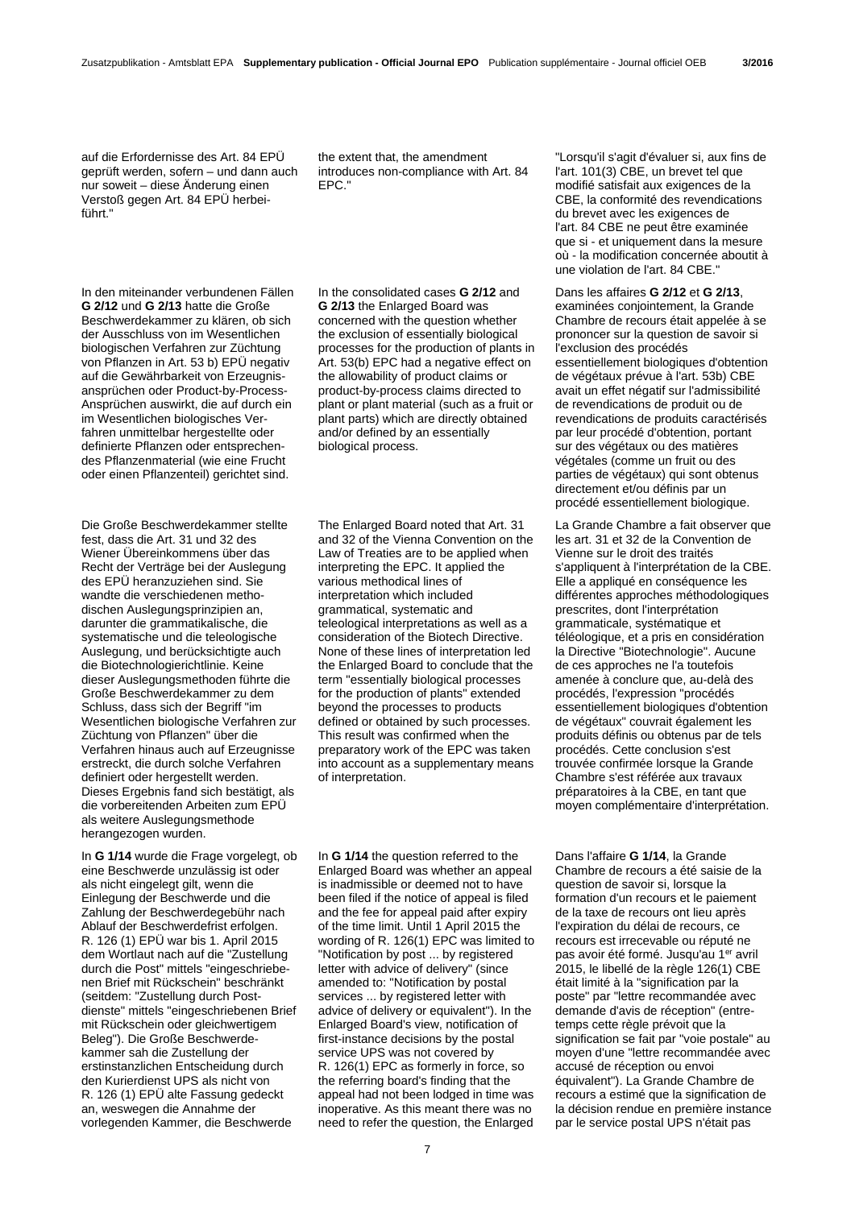auf die Erfordernisse des Art. 84 EPÜ geprüft werden, sofern – und dann auch nur soweit – diese Änderung einen Verstoß gegen Art. 84 EPÜ herbeiführt."

the extent that, the amendment introduces non-compliance with Art. 84 EPC."

In den miteinander verbundenen Fällen **G 2/12** und **G 2/13** hatte die Große Beschwerdekammer zu klären, ob sich der Ausschluss von im Wesentlichen biologischen Verfahren zur Züchtung von Pflanzen in Art. 53 b) EPÜ negativ auf die Gewährbarkeit von Erzeugnisansprüchen oder Product-by-Process-Ansprüchen auswirkt, die auf durch ein im Wesentlichen biologisches Verfahren unmittelbar hergestellte oder definierte Pflanzen oder entsprechendes Pflanzenmaterial (wie eine Frucht oder einen Pflanzenteil) gerichtet sind.

Die Große Beschwerdekammer stellte fest, dass die Art. 31 und 32 des Wiener Übereinkommens über das Recht der Verträge bei der Auslegung des EPÜ heranzuziehen sind. Sie wandte die verschiedenen methodischen Auslegungsprinzipien an, darunter die grammatikalische, die systematische und die teleologische Auslegung, und berücksichtigte auch die Biotechnologierichtlinie. Keine dieser Auslegungsmethoden führte die Große Beschwerdekammer zu dem Schluss, dass sich der Begriff "im Wesentlichen biologische Verfahren zur Züchtung von Pflanzen" über die Verfahren hinaus auch auf Erzeugnisse erstreckt, die durch solche Verfahren definiert oder hergestellt werden. Dieses Ergebnis fand sich bestätigt, als die vorbereitenden Arbeiten zum EPÜ als weitere Auslegungsmethode herangezogen wurden.

In **G 1/14** wurde die Frage vorgelegt, ob eine Beschwerde unzulässig ist oder als nicht eingelegt gilt, wenn die Einlegung der Beschwerde und die Zahlung der Beschwerdegebühr nach Ablauf der Beschwerdefrist erfolgen. R. 126 (1) EPÜ war bis 1. April 2015 dem Wortlaut nach auf die "Zustellung durch die Post" mittels "eingeschriebenen Brief mit Rückschein" beschränkt (seitdem: "Zustellung durch Postdienste" mittels "eingeschriebenen Brief mit Rückschein oder gleichwertigem Beleg"). Die Große Beschwerdekammer sah die Zustellung der erstinstanzlichen Entscheidung durch den Kurierdienst UPS als nicht von R. 126 (1) EPÜ alte Fassung gedeckt an, weswegen die Annahme der vorlegenden Kammer, die Beschwerde

In the consolidated cases **G 2/12** and **G 2/13** the Enlarged Board was concerned with the question whether the exclusion of essentially biological processes for the production of plants in Art. 53(b) EPC had a negative effect on the allowability of product claims or product-by-process claims directed to plant or plant material (such as a fruit or plant parts) which are directly obtained and/or defined by an essentially biological process.

 The Enlarged Board noted that Art. 31 and 32 of the Vienna Convention on the Law of Treaties are to be applied when interpreting the EPC. It applied the various methodical lines of interpretation which included grammatical, systematic and teleological interpretations as well as a consideration of the Biotech Directive. None of these lines of interpretation led the Enlarged Board to conclude that the term "essentially biological processes for the production of plants" extended beyond the processes to products defined or obtained by such processes. This result was confirmed when the preparatory work of the EPC was taken into account as a supplementary means of interpretation.

In **G 1/14** the question referred to the Enlarged Board was whether an appeal is inadmissible or deemed not to have been filed if the notice of appeal is filed and the fee for appeal paid after expiry of the time limit. Until 1 April 2015 the wording of R. 126(1) EPC was limited to "Notification by post ... by registered letter with advice of delivery" (since amended to: "Notification by postal services ... by registered letter with advice of delivery or equivalent"). In the Enlarged Board's view, notification of first-instance decisions by the postal service UPS was not covered by R. 126(1) EPC as formerly in force, so the referring board's finding that the appeal had not been lodged in time was inoperative. As this meant there was no need to refer the question, the Enlarged

"Lorsqu'il s'agit d'évaluer si, aux fins de l'art. 101(3) CBE, un brevet tel que modifié satisfait aux exigences de la CBE, la conformité des revendications du brevet avec les exigences de l'art. 84 CBE ne peut être examinée que si - et uniquement dans la mesure où - la modification concernée aboutit à une violation de l'art. 84 CBE."

Dans les affaires **G 2/12** et **G 2/13**, examinées conjointement, la Grande Chambre de recours était appelée à se prononcer sur la question de savoir si l'exclusion des procédés essentiellement biologiques d'obtention de végétaux prévue à l'art. 53b) CBE avait un effet négatif sur l'admissibilité de revendications de produit ou de revendications de produits caractérisés par leur procédé d'obtention, portant sur des végétaux ou des matières végétales (comme un fruit ou des parties de végétaux) qui sont obtenus directement et/ou définis par un procédé essentiellement biologique.

 La Grande Chambre a fait observer que les art. 31 et 32 de la Convention de Vienne sur le droit des traités s'appliquent à l'interprétation de la CBE. Elle a appliqué en conséquence les différentes approches méthodologiques prescrites, dont l'interprétation grammaticale, systématique et téléologique, et a pris en considération la Directive "Biotechnologie". Aucune de ces approches ne l'a toutefois amenée à conclure que, au-delà des procédés, l'expression "procédés essentiellement biologiques d'obtention de végétaux" couvrait également les produits définis ou obtenus par de tels procédés. Cette conclusion s'est trouvée confirmée lorsque la Grande Chambre s'est référée aux travaux préparatoires à la CBE, en tant que moyen complémentaire d'interprétation.

Dans l'affaire **G 1/14**, la Grande Chambre de recours a été saisie de la question de savoir si, lorsque la formation d'un recours et le paiement de la taxe de recours ont lieu après l'expiration du délai de recours, ce recours est irrecevable ou réputé ne pas avoir été formé. Jusqu'au 1<sup>er</sup> avril 2015, le libellé de la règle 126(1) CBE était limité à la "signification par la poste" par "lettre recommandée avec demande d'avis de réception" (entretemps cette règle prévoit que la signification se fait par "voie postale" au moyen d'une "lettre recommandée avec accusé de réception ou envoi équivalent"). La Grande Chambre de recours a estimé que la signification de la décision rendue en première instance par le service postal UPS n'était pas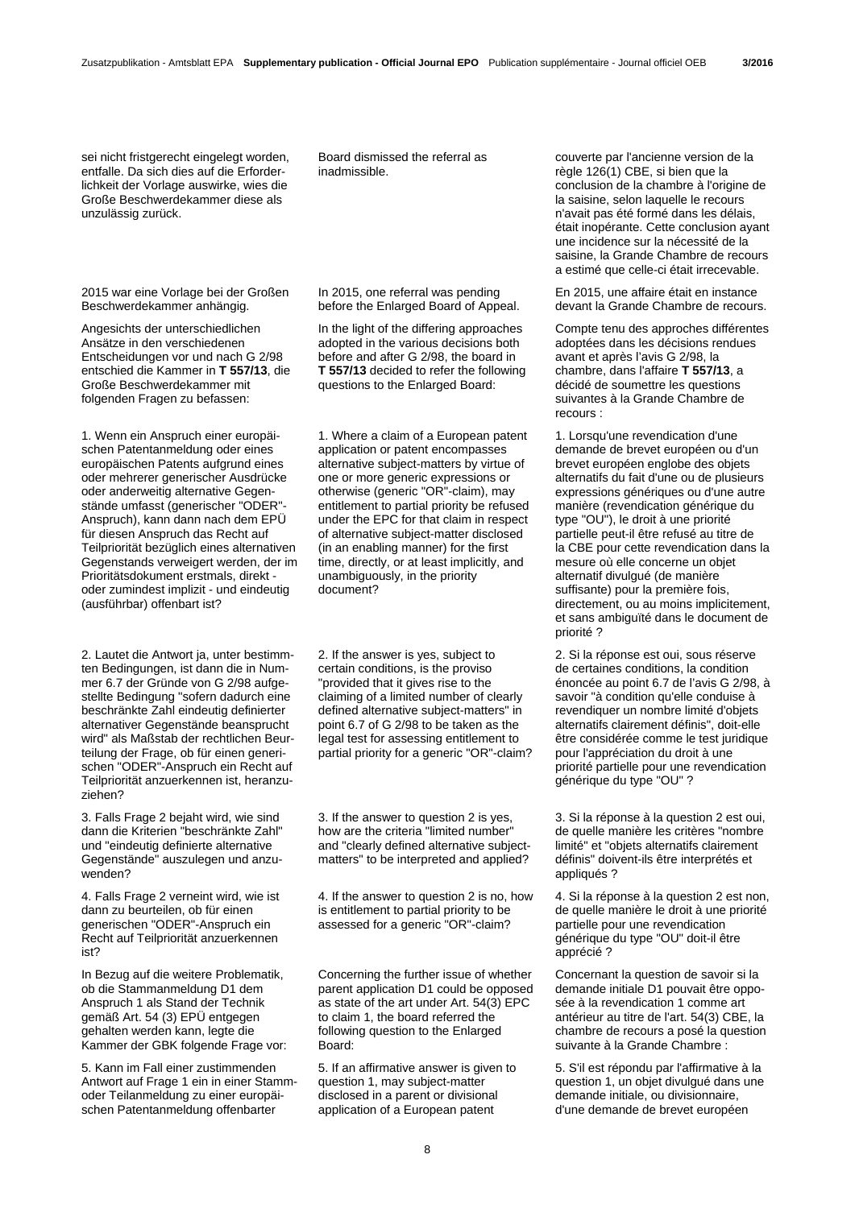sei nicht fristgerecht eingelegt worden. entfalle. Da sich dies auf die Erforderlichkeit der Vorlage auswirke, wies die Große Beschwerdekammer diese als unzulässig zurück.

2015 war eine Vorlage bei der Großen Beschwerdekammer anhängig.

Angesichts der unterschiedlichen Ansätze in den verschiedenen Entscheidungen vor und nach G 2/98 entschied die Kammer in **T 557/13**, die Große Beschwerdekammer mit folgenden Fragen zu befassen:

1. Wenn ein Anspruch einer europäischen Patentanmeldung oder eines europäischen Patents aufgrund eines oder mehrerer generischer Ausdrücke oder anderweitig alternative Gegenstände umfasst (generischer "ODER"- Anspruch), kann dann nach dem EPÜ für diesen Anspruch das Recht auf Teilpriorität bezüglich eines alternativen Gegenstands verweigert werden, der im Prioritätsdokument erstmals, direkt oder zumindest implizit - und eindeutig (ausführbar) offenbart ist?

2. Lautet die Antwort ja, unter bestimmten Bedingungen, ist dann die in Nummer 6.7 der Gründe von G 2/98 aufgestellte Bedingung "sofern dadurch eine beschränkte Zahl eindeutig definierter alternativer Gegenstände beansprucht wird" als Maßstab der rechtlichen Beurteilung der Frage, ob für einen generischen "ODER"-Anspruch ein Recht auf Teilpriorität anzuerkennen ist, heranzuziehen?

3. Falls Frage 2 bejaht wird, wie sind dann die Kriterien "beschränkte Zahl" und "eindeutig definierte alternative Gegenstände" auszulegen und anzuwenden?

4. Falls Frage 2 verneint wird, wie ist dann zu beurteilen, ob für einen generischen "ODER"-Anspruch ein Recht auf Teilpriorität anzuerkennen ist?

In Bezug auf die weitere Problematik, ob die Stammanmeldung D1 dem Anspruch 1 als Stand der Technik gemäß Art. 54 (3) EPÜ entgegen gehalten werden kann, legte die Kammer der GBK folgende Frage vor:

5. Kann im Fall einer zustimmenden Antwort auf Frage 1 ein in einer Stammoder Teilanmeldung zu einer europäischen Patentanmeldung offenbarter

Board dismissed the referral as inadmissible.

 In 2015, one referral was pending before the Enlarged Board of Appeal.

 In the light of the differing approaches adopted in the various decisions both before and after G 2/98, the board in **T 557/13** decided to refer the following questions to the Enlarged Board:

 1. Where a claim of a European patent application or patent encompasses alternative subject-matters by virtue of one or more generic expressions or otherwise (generic "OR"-claim), may entitlement to partial priority be refused under the EPC for that claim in respect of alternative subject-matter disclosed (in an enabling manner) for the first time, directly, or at least implicitly, and unambiguously, in the priority document?

 2. If the answer is yes, subject to certain conditions, is the proviso "provided that it gives rise to the claiming of a limited number of clearly defined alternative subject-matters" in point 6.7 of G 2/98 to be taken as the legal test for assessing entitlement to partial priority for a generic "OR"-claim?

 3. If the answer to question 2 is yes, how are the criteria "limited number" and "clearly defined alternative subjectmatters" to be interpreted and applied?

 4. If the answer to question 2 is no, how is entitlement to partial priority to be assessed for a generic "OR"-claim?

 Concerning the further issue of whether parent application D1 could be opposed as state of the art under Art. 54(3) EPC to claim 1, the board referred the following question to the Enlarged Board:

 5. If an affirmative answer is given to question 1, may subject-matter disclosed in a parent or divisional application of a European patent

couverte par l'ancienne version de la règle 126(1) CBE, si bien que la conclusion de la chambre à l'origine de la saisine, selon laquelle le recours n'avait pas été formé dans les délais, était inopérante. Cette conclusion ayant une incidence sur la nécessité de la saisine, la Grande Chambre de recours a estimé que celle-ci était irrecevable.

 En 2015, une affaire était en instance devant la Grande Chambre de recours.

 Compte tenu des approches différentes adoptées dans les décisions rendues avant et après l'avis G 2/98, la chambre, dans l'affaire **T 557/13**, a décidé de soumettre les questions suivantes à la Grande Chambre de recours :

 1. Lorsqu'une revendication d'une demande de brevet européen ou d'un brevet européen englobe des objets alternatifs du fait d'une ou de plusieurs expressions génériques ou d'une autre manière (revendication générique du type "OU"), le droit à une priorité partielle peut-il être refusé au titre de la CBE pour cette revendication dans la mesure où elle concerne un objet alternatif divulgué (de manière suffisante) pour la première fois, directement, ou au moins implicitement, et sans ambiguïté dans le document de priorité ?

 2. Si la réponse est oui, sous réserve de certaines conditions, la condition énoncée au point 6.7 de l'avis G 2/98, à savoir "à condition qu'elle conduise à revendiquer un nombre limité d'objets alternatifs clairement définis", doit-elle être considérée comme le test juridique pour l'appréciation du droit à une priorité partielle pour une revendication générique du type "OU" ?

 3. Si la réponse à la question 2 est oui, de quelle manière les critères "nombre limité" et "objets alternatifs clairement définis" doivent-ils être interprétés et appliqués ?

 4. Si la réponse à la question 2 est non, de quelle manière le droit à une priorité partielle pour une revendication générique du type "OU" doit-il être apprécié ?

 Concernant la question de savoir si la demande initiale D1 pouvait être opposée à la revendication 1 comme art antérieur au titre de l'art. 54(3) CBE, la chambre de recours a posé la question suivante à la Grande Chambre :

 5. S'il est répondu par l'affirmative à la question 1, un objet divulgué dans une demande initiale, ou divisionnaire, d'une demande de brevet européen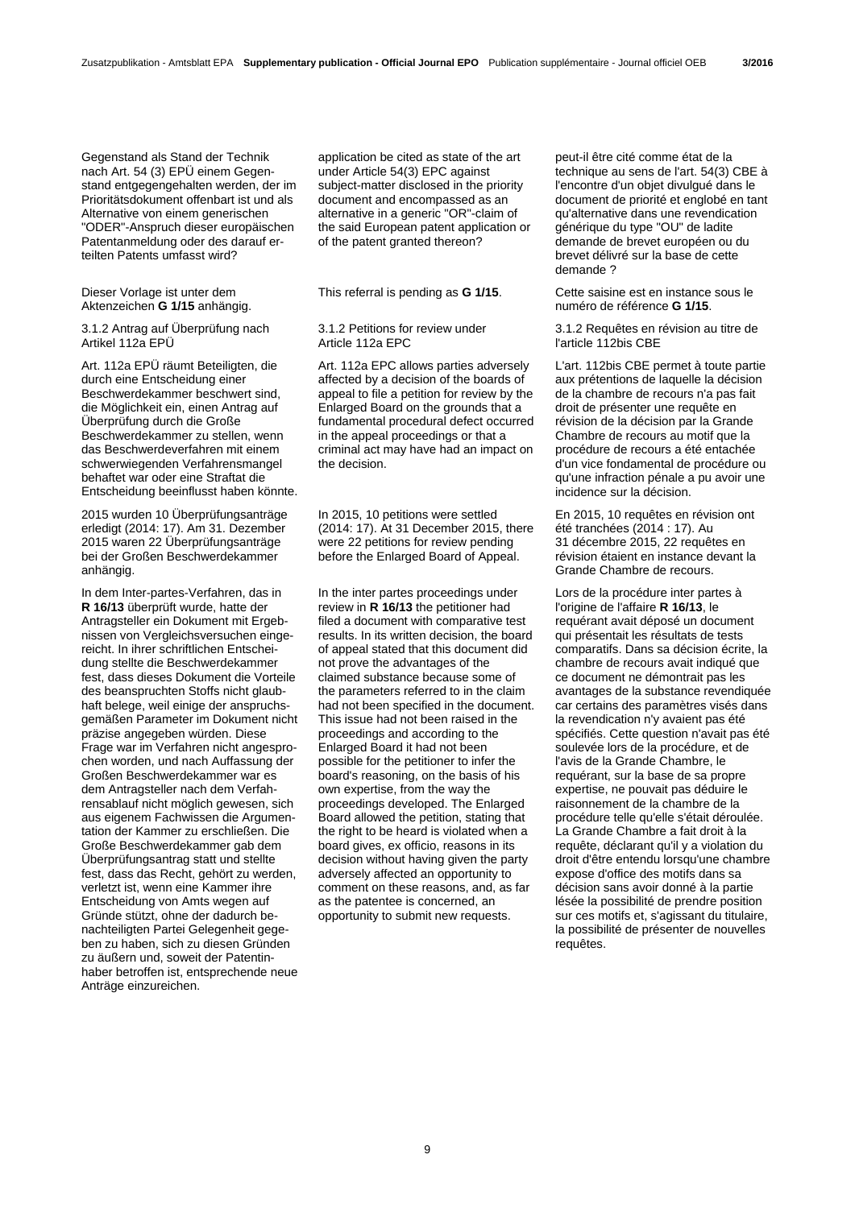Gegenstand als Stand der Technik nach Art. 54 (3) EPÜ einem Gegenstand entgegengehalten werden, der im Prioritätsdokument offenbart ist und als Alternative von einem generischen "ODER"-Anspruch dieser europäischen Patentanmeldung oder des darauf erteilten Patents umfasst wird?

Dieser Vorlage ist unter dem Aktenzeichen **G 1/15** anhängig.

3.1.2 Antrag auf Überprüfung nach Artikel 112a EPÜ

Art. 112a EPÜ räumt Beteiligten, die durch eine Entscheidung einer Beschwerdekammer beschwert sind, die Möglichkeit ein, einen Antrag auf Überprüfung durch die Große Beschwerdekammer zu stellen, wenn das Beschwerdeverfahren mit einem schwerwiegenden Verfahrensmangel behaftet war oder eine Straftat die Entscheidung beeinflusst haben könnte.

2015 wurden 10 Überprüfungsanträge erledigt (2014: 17). Am 31. Dezember 2015 waren 22 Überprüfungsanträge bei der Großen Beschwerdekammer anhängig.

In dem Inter-partes-Verfahren, das in **R 16/13** überprüft wurde, hatte der Antragsteller ein Dokument mit Ergebnissen von Vergleichsversuchen eingereicht. In ihrer schriftlichen Entscheidung stellte die Beschwerdekammer fest, dass dieses Dokument die Vorteile des beanspruchten Stoffs nicht glaubhaft belege, weil einige der anspruchsgemäßen Parameter im Dokument nicht präzise angegeben würden. Diese Frage war im Verfahren nicht angesprochen worden, und nach Auffassung der Großen Beschwerdekammer war es dem Antragsteller nach dem Verfahrensablauf nicht möglich gewesen, sich aus eigenem Fachwissen die Argumentation der Kammer zu erschließen. Die Große Beschwerdekammer gab dem Überprüfungsantrag statt und stellte fest, dass das Recht, gehört zu werden, verletzt ist, wenn eine Kammer ihre Entscheidung von Amts wegen auf Gründe stützt, ohne der dadurch benachteiligten Partei Gelegenheit gegeben zu haben, sich zu diesen Gründen zu äußern und, soweit der Patentinhaber betroffen ist, entsprechende neue Anträge einzureichen.

application be cited as state of the art under Article 54(3) EPC against subject-matter disclosed in the priority document and encompassed as an alternative in a generic "OR"-claim of the said European patent application or of the patent granted thereon?

#### 3.1.2 Petitions for review under Article 112a EPC

Art. 112a EPC allows parties adversely affected by a decision of the boards of appeal to file a petition for review by the Enlarged Board on the grounds that a fundamental procedural defect occurred in the appeal proceedings or that a criminal act may have had an impact on the decision.

 In 2015, 10 petitions were settled (2014: 17). At 31 December 2015, there were 22 petitions for review pending before the Enlarged Board of Appeal.

 In the inter partes proceedings under review in **R 16/13** the petitioner had filed a document with comparative test results. In its written decision, the board of appeal stated that this document did not prove the advantages of the claimed substance because some of the parameters referred to in the claim had not been specified in the document. This issue had not been raised in the proceedings and according to the Enlarged Board it had not been possible for the petitioner to infer the board's reasoning, on the basis of his own expertise, from the way the proceedings developed. The Enlarged Board allowed the petition, stating that the right to be heard is violated when a board gives, ex officio, reasons in its decision without having given the party adversely affected an opportunity to comment on these reasons, and, as far as the patentee is concerned, an opportunity to submit new requests.

peut-il être cité comme état de la technique au sens de l'art. 54(3) CBE à l'encontre d'un objet divulgué dans le document de priorité et englobé en tant qu'alternative dans une revendication générique du type "OU" de ladite demande de brevet européen ou du brevet délivré sur la base de cette demande ?

This referral is pending as **G 1/15**. Cette saisine est en instance sous le numéro de référence **G 1/15**.

> 3.1.2 Requêtes en révision au titre de l'article 112bis CBE

 L'art. 112bis CBE permet à toute partie aux prétentions de laquelle la décision de la chambre de recours n'a pas fait droit de présenter une requête en révision de la décision par la Grande Chambre de recours au motif que la procédure de recours a été entachée d'un vice fondamental de procédure ou qu'une infraction pénale a pu avoir une incidence sur la décision.

 En 2015, 10 requêtes en révision ont été tranchées (2014 : 17). Au 31 décembre 2015, 22 requêtes en révision étaient en instance devant la Grande Chambre de recours.

 Lors de la procédure inter partes à l'origine de l'affaire **R 16/13**, le requérant avait déposé un document qui présentait les résultats de tests comparatifs. Dans sa décision écrite, la chambre de recours avait indiqué que ce document ne démontrait pas les avantages de la substance revendiquée car certains des paramètres visés dans la revendication n'y avaient pas été spécifiés. Cette question n'avait pas été soulevée lors de la procédure, et de l'avis de la Grande Chambre, le requérant, sur la base de sa propre expertise, ne pouvait pas déduire le raisonnement de la chambre de la procédure telle qu'elle s'était déroulée. La Grande Chambre a fait droit à la requête, déclarant qu'il y a violation du droit d'être entendu lorsqu'une chambre expose d'office des motifs dans sa décision sans avoir donné à la partie lésée la possibilité de prendre position sur ces motifs et, s'agissant du titulaire, la possibilité de présenter de nouvelles requêtes.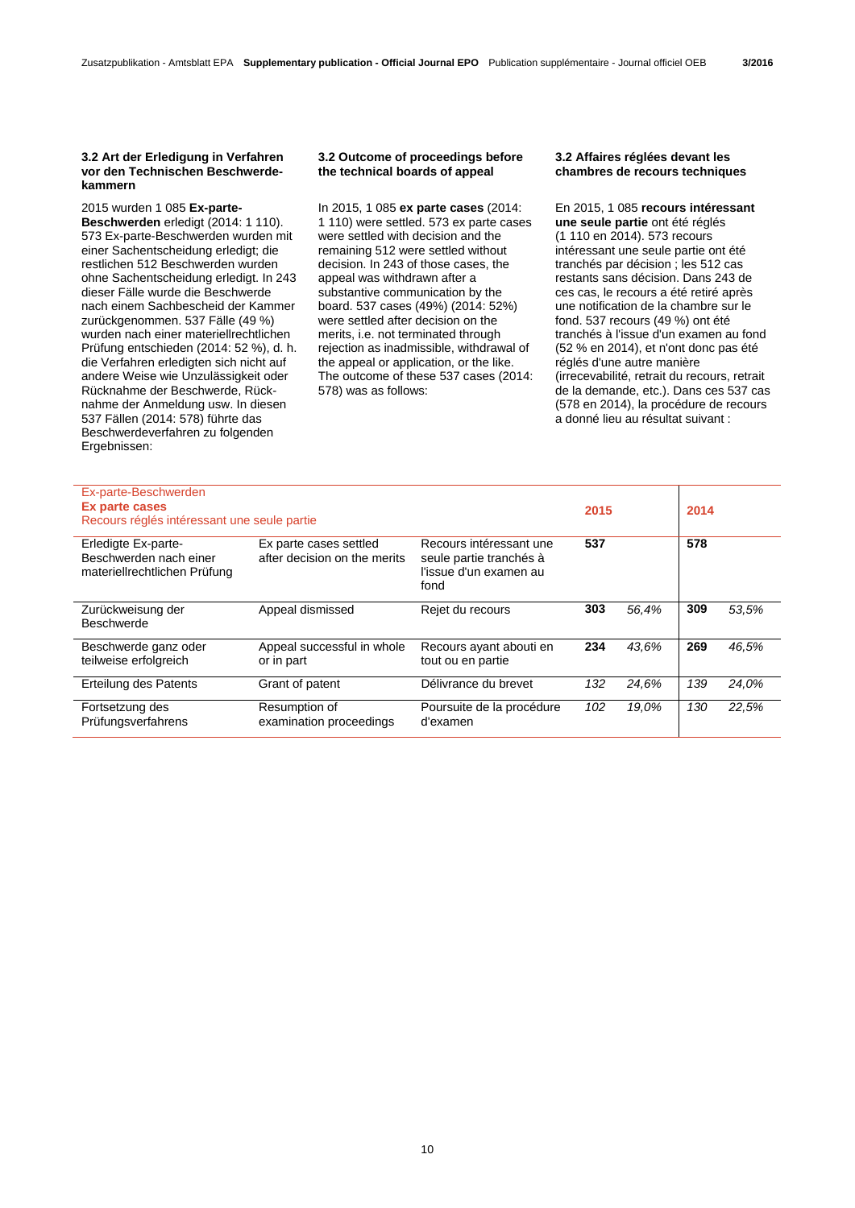#### **3.2 Art der Erledigung in Verfahren vor den Technischen Beschwerdekammern**

2015 wurden 1 085 **Ex-parte-Beschwerden** erledigt (2014: 1 110). 573 Ex-parte-Beschwerden wurden mit einer Sachentscheidung erledigt; die restlichen 512 Beschwerden wurden ohne Sachentscheidung erledigt. In 243 dieser Fälle wurde die Beschwerde nach einem Sachbescheid der Kammer zurückgenommen. 537 Fälle (49 %) wurden nach einer materiellrechtlichen Prüfung entschieden (2014: 52 %), d. h. die Verfahren erledigten sich nicht auf andere Weise wie Unzulässigkeit oder Rücknahme der Beschwerde, Rücknahme der Anmeldung usw. In diesen 537 Fällen (2014: 578) führte das Beschwerdeverfahren zu folgenden Ergebnissen:

### **3.2 Outcome of proceedings before the technical boards of appeal**

In 2015, 1 085 **ex parte cases** (2014: 1 110) were settled. 573 ex parte cases were settled with decision and the remaining 512 were settled without decision. In 243 of those cases, the appeal was withdrawn after a substantive communication by the board. 537 cases (49%) (2014: 52%) were settled after decision on the merits, i.e. not terminated through rejection as inadmissible, withdrawal of the appeal or application, or the like. The outcome of these 537 cases (2014: 578) was as follows:

## **3.2 Affaires réglées devant les chambres de recours techniques**

En 2015, 1 085 **recours intéressant une seule partie** ont été réglés (1 110 en 2014). 573 recours intéressant une seule partie ont été tranchés par décision ; les 512 cas restants sans décision. Dans 243 de ces cas, le recours a été retiré après une notification de la chambre sur le fond. 537 recours (49 %) ont été tranchés à l'issue d'un examen au fond (52 % en 2014), et n'ont donc pas été réglés d'une autre manière (irrecevabilité, retrait du recours, retrait de la demande, etc.). Dans ces 537 cas (578 en 2014), la procédure de recours a donné lieu au résultat suivant :

| Ex-parte-Beschwerden<br>Ex parte cases<br>Recours réglés intéressant une seule partie |                                                        |                                                                                      | 2015 |       | 2014 |       |
|---------------------------------------------------------------------------------------|--------------------------------------------------------|--------------------------------------------------------------------------------------|------|-------|------|-------|
| Erledigte Ex-parte-<br>Beschwerden nach einer<br>materiellrechtlichen Prüfung         | Ex parte cases settled<br>after decision on the merits | Recours intéressant une<br>seule partie tranchés à<br>l'issue d'un examen au<br>fond | 537  |       | 578  |       |
| Zurückweisung der<br><b>Beschwerde</b>                                                | Appeal dismissed                                       | Rejet du recours                                                                     | 303  | 56,4% | 309  | 53.5% |
| Beschwerde ganz oder<br>teilweise erfolgreich                                         | Appeal successful in whole<br>or in part               | Recours ayant abouti en<br>tout ou en partie                                         | 234  | 43.6% | 269  | 46,5% |
| Erteilung des Patents                                                                 | Grant of patent                                        | Délivrance du brevet                                                                 | 132  | 24.6% | 139  | 24,0% |
| Fortsetzung des<br>Prüfungsverfahrens                                                 | Resumption of<br>examination proceedings               | Poursuite de la procédure<br>d'examen                                                | 102  | 19.0% | 130  | 22,5% |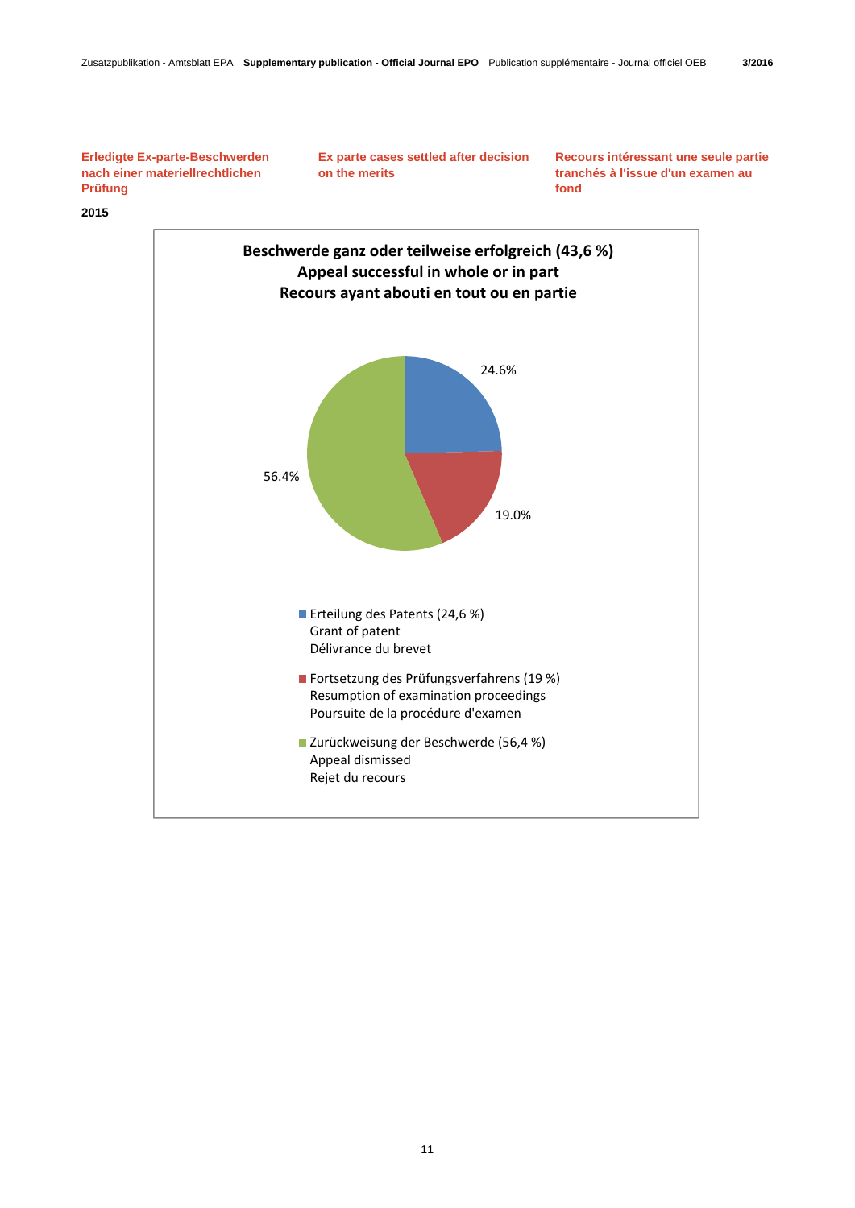**Erledigte Ex-parte-Beschwerden nach einer materiellrechtlichen Prüfung** 

 **Ex parte cases settled after decision on the merits** 

**Recours intéressant une seule partie tranchés à l'issue d'un examen au fond** 

# **2015**

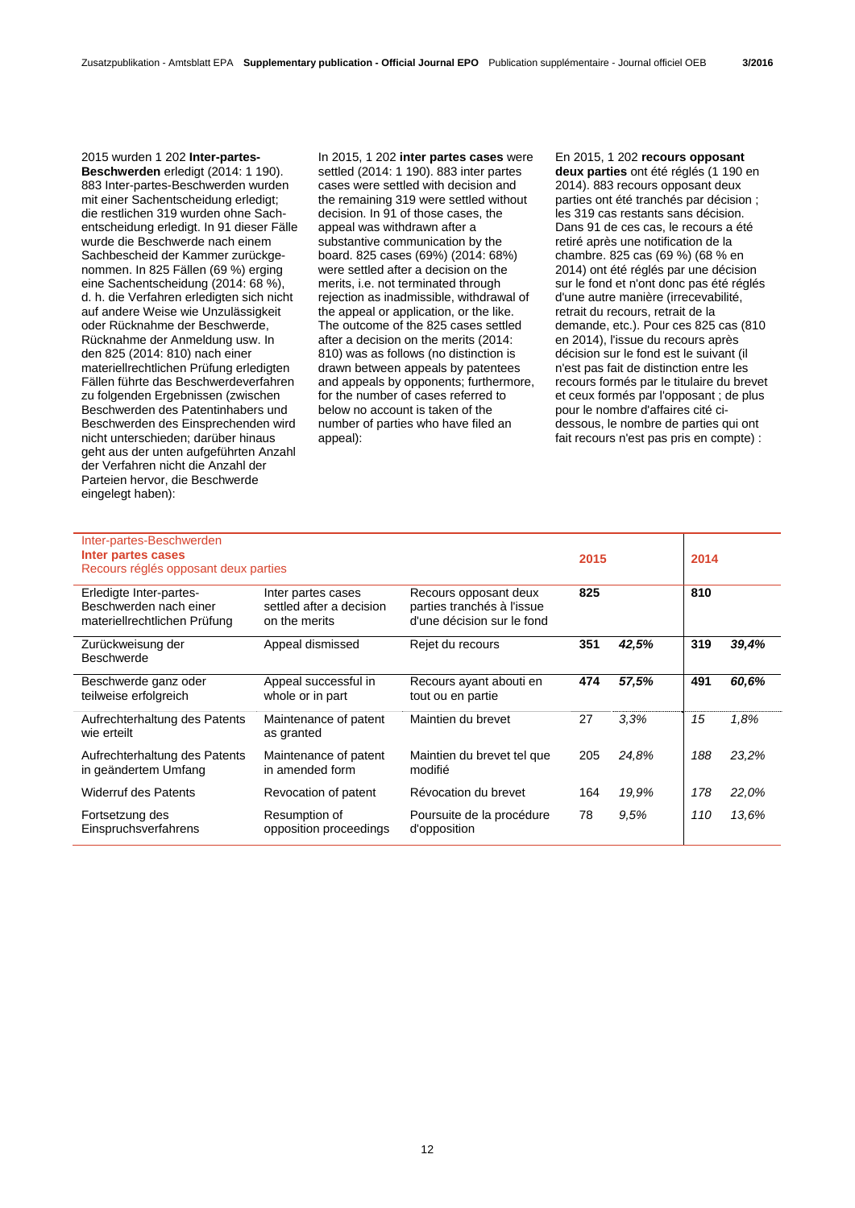2015 wurden 1 202 **Inter-partes-Beschwerden** erledigt (2014: 1 190). 883 Inter-partes-Beschwerden wurden mit einer Sachentscheidung erledigt; die restlichen 319 wurden ohne Sachentscheidung erledigt. In 91 dieser Fälle wurde die Beschwerde nach einem Sachbescheid der Kammer zurückgenommen. In 825 Fällen (69 %) erging eine Sachentscheidung (2014: 68 %), d. h. die Verfahren erledigten sich nicht auf andere Weise wie Unzulässigkeit oder Rücknahme der Beschwerde, Rücknahme der Anmeldung usw. In den 825 (2014: 810) nach einer materiellrechtlichen Prüfung erledigten Fällen führte das Beschwerdeverfahren zu folgenden Ergebnissen (zwischen Beschwerden des Patentinhabers und Beschwerden des Einsprechenden wird nicht unterschieden; darüber hinaus geht aus der unten aufgeführten Anzahl der Verfahren nicht die Anzahl der Parteien hervor, die Beschwerde eingelegt haben):

In 2015, 1 202 **inter partes cases** were settled (2014: 1 190). 883 inter partes cases were settled with decision and the remaining 319 were settled without decision. In 91 of those cases, the appeal was withdrawn after a substantive communication by the board. 825 cases (69%) (2014: 68%) were settled after a decision on the merits, i.e. not terminated through rejection as inadmissible, withdrawal of the appeal or application, or the like. The outcome of the 825 cases settled after a decision on the merits (2014: 810) was as follows (no distinction is drawn between appeals by patentees and appeals by opponents; furthermore, for the number of cases referred to below no account is taken of the number of parties who have filed an appeal):

En 2015, 1 202 **recours opposant deux parties** ont été réglés (1 190 en 2014). 883 recours opposant deux parties ont été tranchés par décision ; les 319 cas restants sans décision. Dans 91 de ces cas, le recours a été retiré après une notification de la chambre. 825 cas (69 %) (68 % en 2014) ont été réglés par une décision sur le fond et n'ont donc pas été réglés d'une autre manière (irrecevabilité, retrait du recours, retrait de la demande, etc.). Pour ces 825 cas (810 en 2014), l'issue du recours après décision sur le fond est le suivant (il n'est pas fait de distinction entre les recours formés par le titulaire du brevet et ceux formés par l'opposant ; de plus pour le nombre d'affaires cité cidessous, le nombre de parties qui ont fait recours n'est pas pris en compte) :

| Inter-partes-Beschwerden             |                          |                            |      |       |      |       |
|--------------------------------------|--------------------------|----------------------------|------|-------|------|-------|
| Inter partes cases                   |                          |                            | 2015 |       | 2014 |       |
| Recours réglés opposant deux parties |                          |                            |      |       |      |       |
|                                      |                          |                            |      |       |      |       |
| Erledigte Inter-partes-              | Inter partes cases       | Recours opposant deux      | 825  |       | 810  |       |
| Beschwerden nach einer               | settled after a decision | parties tranchés à l'issue |      |       |      |       |
| materiellrechtlichen Prüfung         | on the merits            | d'une décision sur le fond |      |       |      |       |
|                                      |                          |                            |      |       |      |       |
| Zurückweisung der                    | Appeal dismissed         | Rejet du recours           | 351  | 42,5% | 319  | 39,4% |
| <b>Beschwerde</b>                    |                          |                            |      |       |      |       |
|                                      |                          |                            |      |       |      |       |
| Beschwerde ganz oder                 | Appeal successful in     | Recours ayant abouti en    | 474  | 57,5% | 491  | 60.6% |
| teilweise erfolgreich                | whole or in part         | tout ou en partie          |      |       |      |       |
|                                      |                          |                            |      |       |      |       |
| Aufrechterhaltung des Patents        | Maintenance of patent    | Maintien du brevet         | 27   | 3.3%  | 15   | 1.8%  |
| wie erteilt                          | as granted               |                            |      |       |      |       |
| Aufrechterhaltung des Patents        | Maintenance of patent    | Maintien du brevet tel que | 205  | 24.8% | 188  | 23,2% |
| in geändertem Umfang                 | in amended form          | modifié                    |      |       |      |       |
|                                      |                          |                            |      |       |      |       |
| <b>Widerruf des Patents</b>          | Revocation of patent     | Révocation du brevet       | 164  | 19.9% | 178  | 22,0% |
|                                      |                          |                            |      |       |      |       |
| Fortsetzung des                      | Resumption of            | Poursuite de la procédure  | 78   | 9.5%  | 110  | 13.6% |
| Einspruchsverfahrens                 | opposition proceedings   | d'opposition               |      |       |      |       |
|                                      |                          |                            |      |       |      |       |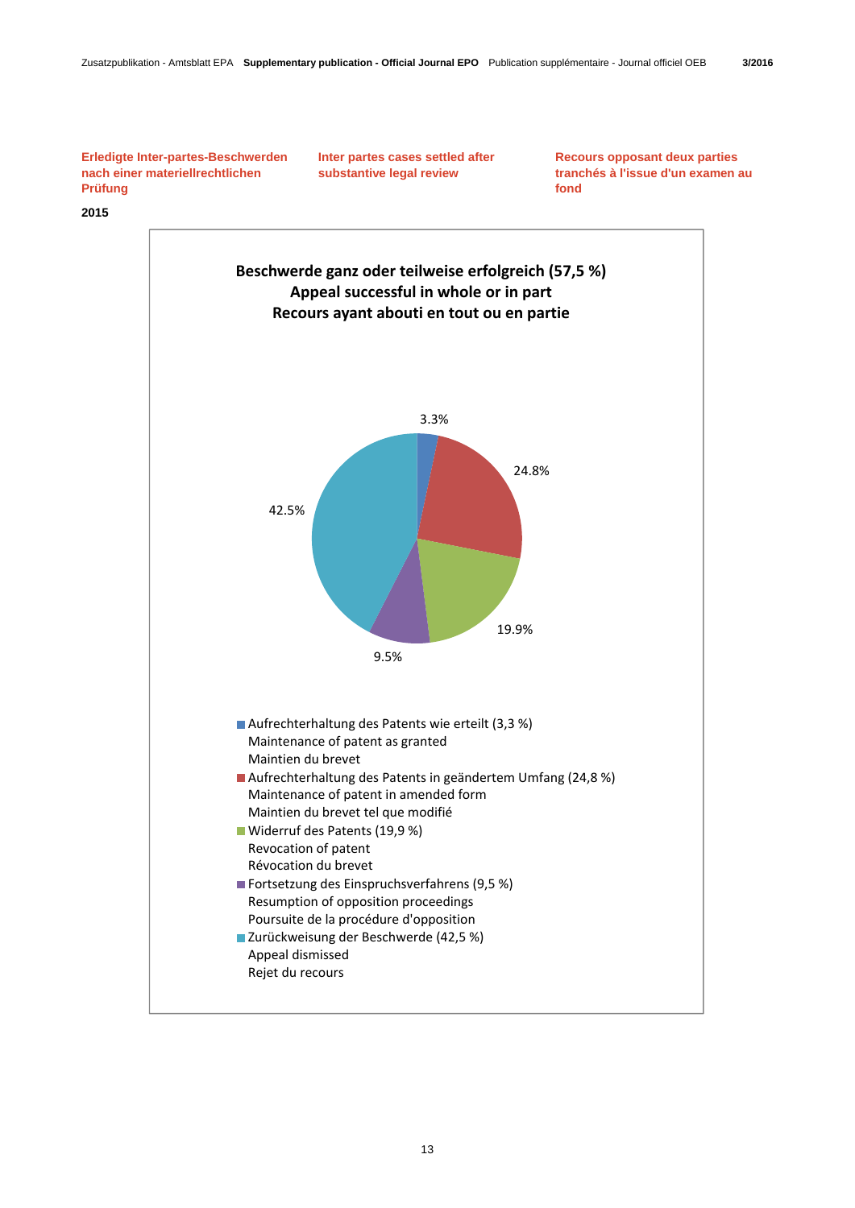**Recours opposant deux parties tranchés à l'issue d'un examen au** 

**fond** 

 **Inter partes cases settled after substantive legal review** 

**Erledigte Inter-partes-Beschwerden nach einer materiellrechtlichen Prüfung** 

**2015** 

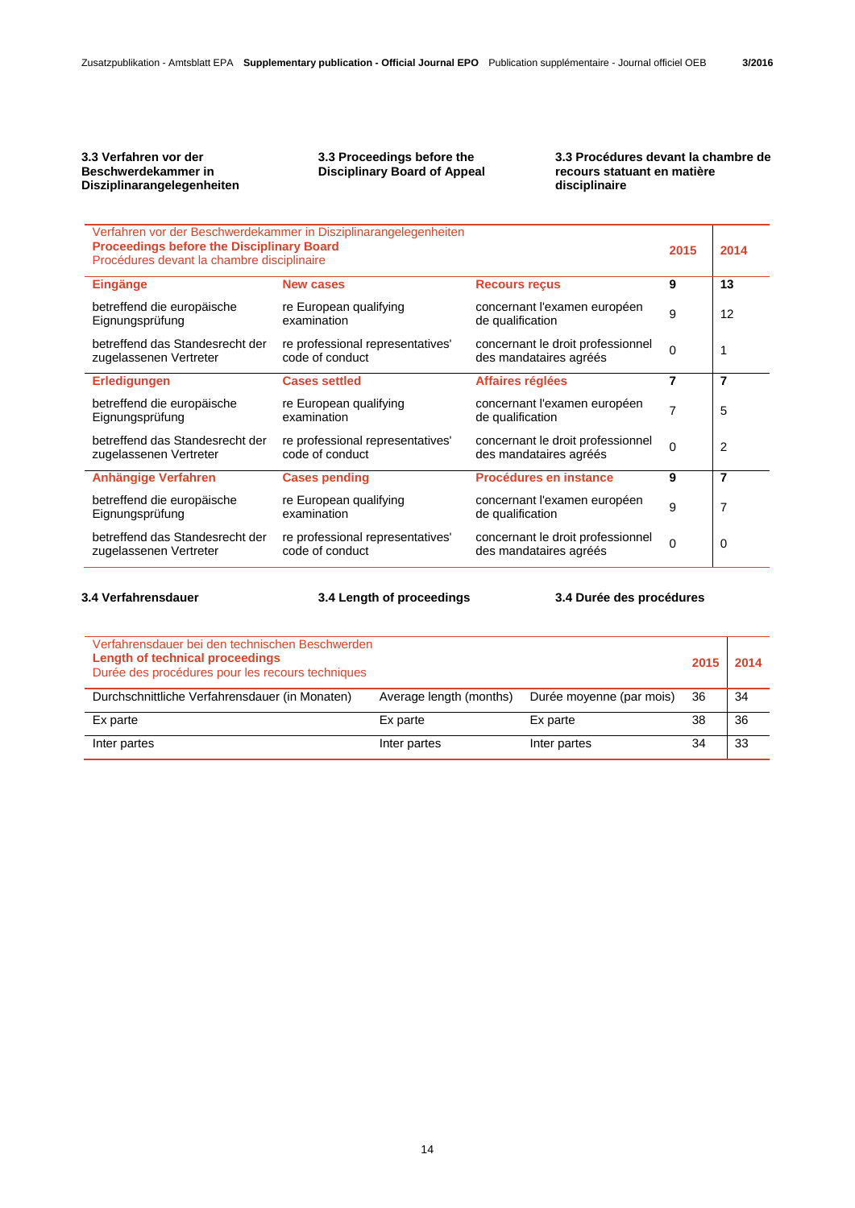# **3.3 Verfahren vor der Beschwerdekammer in Disziplinarangelegenheiten**

# **3.3 Proceedings before the Disciplinary Board of Appeal**

### **3.3 Procédures devant la chambre de recours statuant en matière disciplinaire**

| <b>Proceedings before the Disciplinary Board</b><br>Procédures devant la chambre disciplinaire | Verfahren vor der Beschwerdekammer in Disziplinarangelegenheiten |                                                             | 2015     | 2014 |
|------------------------------------------------------------------------------------------------|------------------------------------------------------------------|-------------------------------------------------------------|----------|------|
| <b>Eingänge</b>                                                                                | <b>New cases</b>                                                 | <b>Recours reçus</b>                                        | 9        | 13   |
| betreffend die europäische<br>Eignungsprüfung                                                  | re European qualifying<br>examination                            | concernant l'examen européen<br>de qualification            | 9        | 12   |
| betreffend das Standesrecht der<br>zugelassenen Vertreter                                      | re professional representatives'<br>code of conduct              | concernant le droit professionnel<br>des mandataires agréés | $\Omega$ |      |
| Erledigungen                                                                                   | <b>Cases settled</b>                                             | Affaires réglées                                            | 7        | 7    |
| betreffend die europäische<br>Eignungsprüfung                                                  | re European qualifying<br>examination                            | concernant l'examen européen<br>de qualification            | 7        | 5    |
| betreffend das Standesrecht der<br>zugelassenen Vertreter                                      | re professional representatives'<br>code of conduct              | concernant le droit professionnel<br>des mandataires agréés | $\Omega$ | 2    |
| Anhängige Verfahren                                                                            | <b>Cases pending</b>                                             | Procédures en instance                                      | 9        | 7    |
| betreffend die europäische<br>Eignungsprüfung                                                  | re European qualifying<br>examination                            | concernant l'examen européen<br>de qualification            | 9        | 7    |
| betreffend das Standesrecht der<br>zugelassenen Vertreter                                      | re professional representatives'<br>code of conduct              | concernant le droit professionnel<br>des mandataires agréés | $\Omega$ | 0    |

**3.4 Verfahrensdauer 3.4 Length of proceedings 3.4 Durée des procédures**

| Verfahrensdauer bei den technischen Beschwerden<br>Length of technical proceedings<br>Durée des procédures pour les recours techniques |                         |                          |     | 2015 2014 |
|----------------------------------------------------------------------------------------------------------------------------------------|-------------------------|--------------------------|-----|-----------|
| Durchschnittliche Verfahrensdauer (in Monaten)                                                                                         | Average length (months) | Durée moyenne (par mois) | -36 | 34        |
| Ex parte                                                                                                                               | Ex parte                | Ex parte                 | 38  | 36        |
| Inter partes                                                                                                                           | Inter partes            | Inter partes             | 34  | 33        |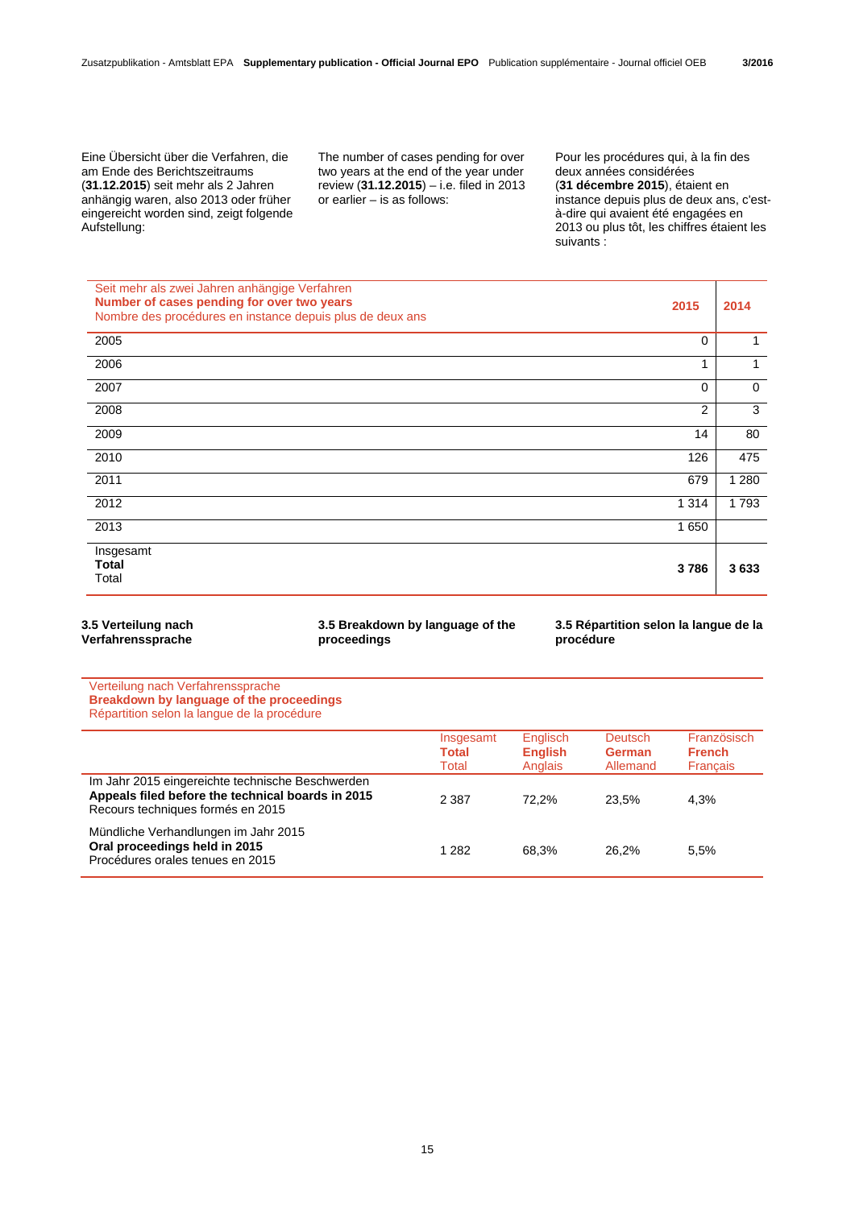Eine Übersicht über die Verfahren, die am Ende des Berichtszeitraums (**31.12.2015**) seit mehr als 2 Jahren anhängig waren, also 2013 oder früher eingereicht worden sind, zeigt folgende Aufstellung:

 The number of cases pending for over two years at the end of the year under review (**31.12.2015**) – i.e. filed in 2013 or earlier – is as follows:

 Pour les procédures qui, à la fin des deux années considérées (**31 décembre 2015**), étaient en instance depuis plus de deux ans, c'està-dire qui avaient été engagées en 2013 ou plus tôt, les chiffres étaient les suivants :

| Seit mehr als zwei Jahren anhängige Verfahren<br>Number of cases pending for over two years<br>Nombre des procédures en instance depuis plus de deux ans | 2015           | 2014        |
|----------------------------------------------------------------------------------------------------------------------------------------------------------|----------------|-------------|
| 2005                                                                                                                                                     | $\mathbf 0$    |             |
| 2006                                                                                                                                                     | 1              | 1           |
| 2007                                                                                                                                                     | $\mathbf 0$    | $\mathbf 0$ |
| 2008                                                                                                                                                     | $\overline{2}$ | 3           |
| 2009                                                                                                                                                     | 14             | 80          |
| 2010                                                                                                                                                     | 126            | 475         |
| 2011                                                                                                                                                     | 679            | 1 2 8 0     |
| 2012                                                                                                                                                     | 1 3 1 4        | 1793        |
| 2013                                                                                                                                                     | 1 650          |             |
| Insgesamt<br>Total<br>Total                                                                                                                              | 3786           | 3633        |

**3.5 Verteilung nach Verfahrenssprache** **3.5 Breakdown by language of the proceedings**

**3.5 Répartition selon la langue de la procédure**

Verteilung nach Verfahrenssprache **Breakdown by language of the proceedings**  Répartition selon la langue de la procédure

|                                                                                                                                            | Insgesamt<br><b>Total</b><br>Total | Englisch<br><b>English</b><br>Anglais | <b>Deutsch</b><br><b>German</b><br>Allemand | Französisch<br><b>French</b><br><b>Francais</b> |
|--------------------------------------------------------------------------------------------------------------------------------------------|------------------------------------|---------------------------------------|---------------------------------------------|-------------------------------------------------|
| Im Jahr 2015 eingereichte technische Beschwerden<br>Appeals filed before the technical boards in 2015<br>Recours techniques formés en 2015 | 2 3 8 7                            | 72.2%                                 | 23.5%                                       | 4.3%                                            |
| Mündliche Verhandlungen im Jahr 2015<br>Oral proceedings held in 2015<br>Procédures orales tenues en 2015                                  | 1 282                              | 68.3%                                 | 26.2%                                       | 5.5%                                            |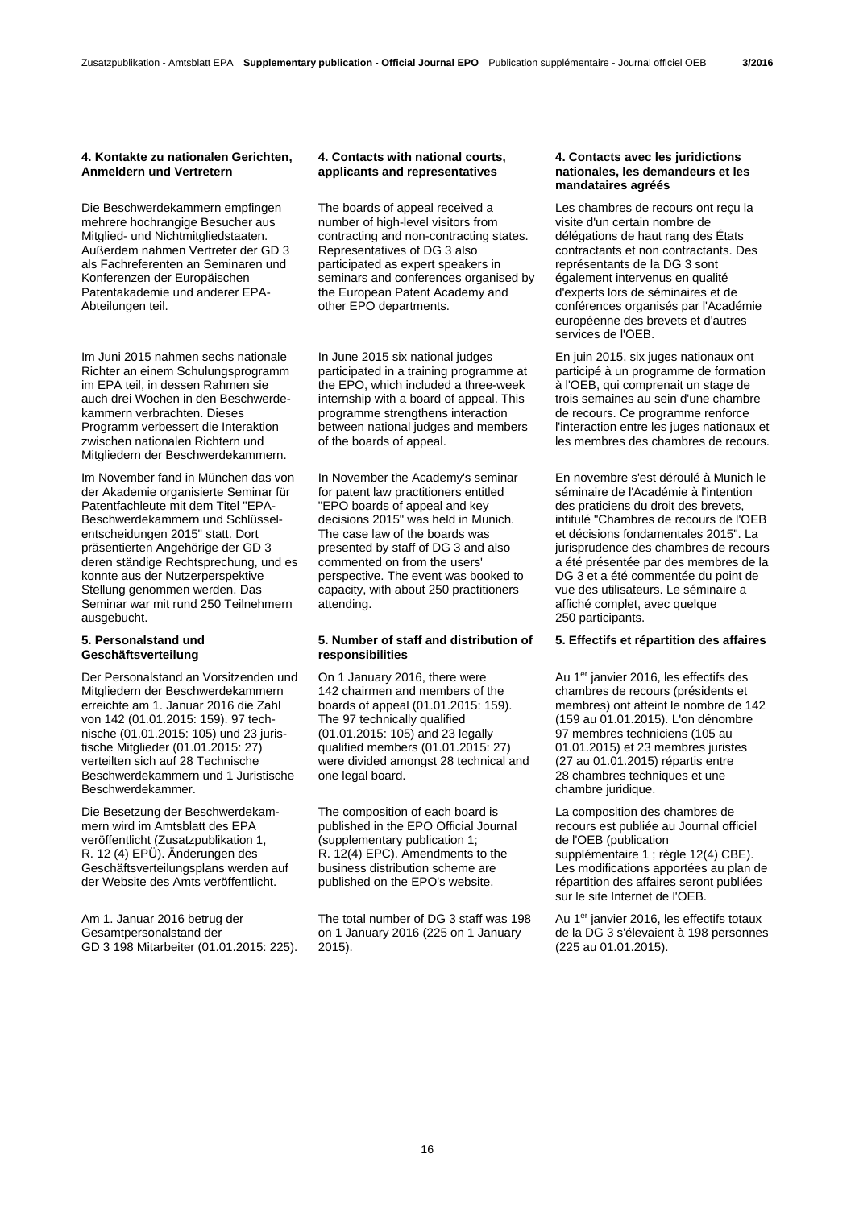#### **4. Kontakte zu nationalen Gerichten, Anmeldern und Vertretern**

Die Beschwerdekammern empfingen mehrere hochrangige Besucher aus Mitglied- und Nichtmitgliedstaaten. Außerdem nahmen Vertreter der GD 3 als Fachreferenten an Seminaren und Konferenzen der Europäischen Patentakademie und anderer EPA-Abteilungen teil.

Im Juni 2015 nahmen sechs nationale Richter an einem Schulungsprogramm im EPA teil, in dessen Rahmen sie auch drei Wochen in den Beschwerdekammern verbrachten. Dieses Programm verbessert die Interaktion zwischen nationalen Richtern und Mitgliedern der Beschwerdekammern.

Im November fand in München das von der Akademie organisierte Seminar für Patentfachleute mit dem Titel "EPA-Beschwerdekammern und Schlüsselentscheidungen 2015" statt. Dort präsentierten Angehörige der GD 3 deren ständige Rechtsprechung, und es konnte aus der Nutzerperspektive Stellung genommen werden. Das Seminar war mit rund 250 Teilnehmern ausgebucht.

# **5. Personalstand und Geschäftsverteilung**

Der Personalstand an Vorsitzenden und Mitgliedern der Beschwerdekammern erreichte am 1. Januar 2016 die Zahl von 142 (01.01.2015: 159). 97 technische (01.01.2015: 105) und 23 juristische Mitglieder (01.01.2015: 27) verteilten sich auf 28 Technische Beschwerdekammern und 1 Juristische Beschwerdekammer.

Die Besetzung der Beschwerdekammern wird im Amtsblatt des EPA veröffentlicht (Zusatzpublikation 1, R. 12 (4) EPÜ). Änderungen des Geschäftsverteilungsplans werden auf der Website des Amts veröffentlicht.

Am 1. Januar 2016 betrug der Gesamtpersonalstand der GD 3 198 Mitarbeiter (01.01.2015: 225).

## **4. Contacts with national courts, applicants and representatives**

 The boards of appeal received a number of high-level visitors from contracting and non-contracting states. Representatives of DG 3 also participated as expert speakers in seminars and conferences organised by the European Patent Academy and other EPO departments.

 In June 2015 six national judges participated in a training programme at the EPO, which included a three-week internship with a board of appeal. This programme strengthens interaction between national judges and members of the boards of appeal.

 In November the Academy's seminar for patent law practitioners entitled "EPO boards of appeal and key decisions 2015" was held in Munich. The case law of the boards was presented by staff of DG 3 and also commented on from the users' perspective. The event was booked to capacity, with about 250 practitioners attending.

### **5. Number of staff and distribution of responsibilities**

 On 1 January 2016, there were 142 chairmen and members of the boards of appeal (01.01.2015: 159). The 97 technically qualified (01.01.2015: 105) and 23 legally qualified members (01.01.2015: 27) were divided amongst 28 technical and one legal board.

 The composition of each board is published in the EPO Official Journal (supplementary publication 1; R. 12(4) EPC). Amendments to the business distribution scheme are published on the EPO's website.

 The total number of DG 3 staff was 198 on 1 January 2016 (225 on 1 January 2015).

### **4. Contacts avec les juridictions nationales, les demandeurs et les mandataires agréés**

 Les chambres de recours ont reçu la visite d'un certain nombre de délégations de haut rang des États contractants et non contractants. Des représentants de la DG 3 sont également intervenus en qualité d'experts lors de séminaires et de conférences organisés par l'Académie européenne des brevets et d'autres services de l'OEB.

 En juin 2015, six juges nationaux ont participé à un programme de formation à l'OEB, qui comprenait un stage de trois semaines au sein d'une chambre de recours. Ce programme renforce l'interaction entre les juges nationaux et les membres des chambres de recours.

 En novembre s'est déroulé à Munich le séminaire de l'Académie à l'intention des praticiens du droit des brevets, intitulé "Chambres de recours de l'OEB et décisions fondamentales 2015". La jurisprudence des chambres de recours a été présentée par des membres de la DG 3 et a été commentée du point de vue des utilisateurs. Le séminaire a affiché complet, avec quelque 250 participants.

# **5. Effectifs et répartition des affaires**

Au 1er janvier 2016, les effectifs des chambres de recours (présidents et membres) ont atteint le nombre de 142 (159 au 01.01.2015). L'on dénombre 97 membres techniciens (105 au 01.01.2015) et 23 membres juristes (27 au 01.01.2015) répartis entre 28 chambres techniques et une chambre juridique.

 La composition des chambres de recours est publiée au Journal officiel de l'OEB (publication supplémentaire 1 ; règle 12(4) CBE). Les modifications apportées au plan de répartition des affaires seront publiées sur le site Internet de l'OEB.

Au 1<sup>er</sup> janvier 2016, les effectifs totaux de la DG 3 s'élevaient à 198 personnes (225 au 01.01.2015).